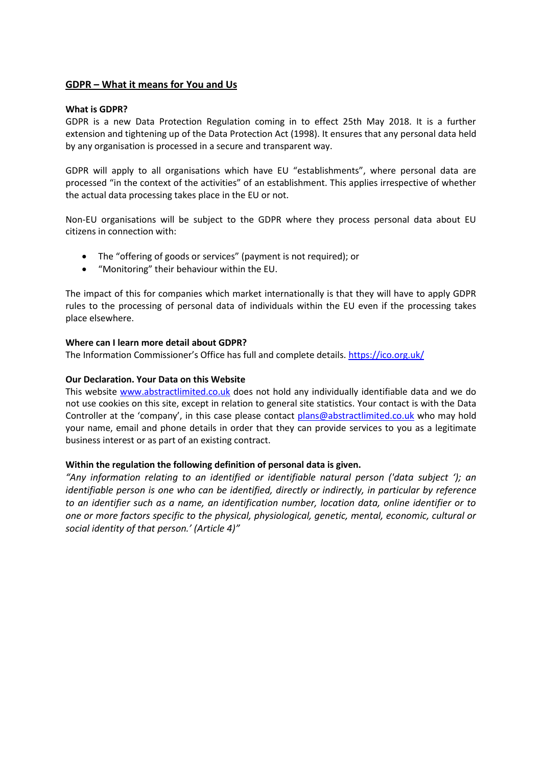### **GDPR – What it means for You and Us**

#### **What is GDPR?**

GDPR is a new Data Protection Regulation coming in to effect 25th May 2018. It is a further extension and tightening up of the Data Protection Act (1998). It ensures that any personal data held by any organisation is processed in a secure and transparent way.

GDPR will apply to all organisations which have EU "establishments", where personal data are processed "in the context of the activities" of an establishment. This applies irrespective of whether the actual data processing takes place in the EU or not.

Non-EU organisations will be subject to the GDPR where they process personal data about EU citizens in connection with:

- The "offering of goods or services" (payment is not required); or
- "Monitoring" their behaviour within the EU.

The impact of this for companies which market internationally is that they will have to apply GDPR rules to the processing of personal data of individuals within the EU even if the processing takes place elsewhere.

#### **Where can I learn more detail about GDPR?**

The Information Commissioner's Office has full and complete details. <https://ico.org.uk/>

#### **Our Declaration. Your Data on this Website**

This website [www.abstractlimited.co.uk](http://www.abstractlimited.co.uk/) does not hold any individually identifiable data and we do not use cookies on this site, except in relation to general site statistics. Your contact is with the Data Controller at the 'company', in this case please contact [plans@abstractlimited.co.uk](mailto:plans@abstractlimited.co.uk) who may hold your name, email and phone details in order that they can provide services to you as a legitimate business interest or as part of an existing contract.

#### **Within the regulation the following definition of personal data is given.**

*"Any information relating to an identified or identifiable natural person ('data subject '); an identifiable person is one who can be identified, directly or indirectly, in particular by reference to an identifier such as a name, an identification number, location data, online identifier or to one or more factors specific to the physical, physiological, genetic, mental, economic, cultural or social identity of that person.' (Article 4)"*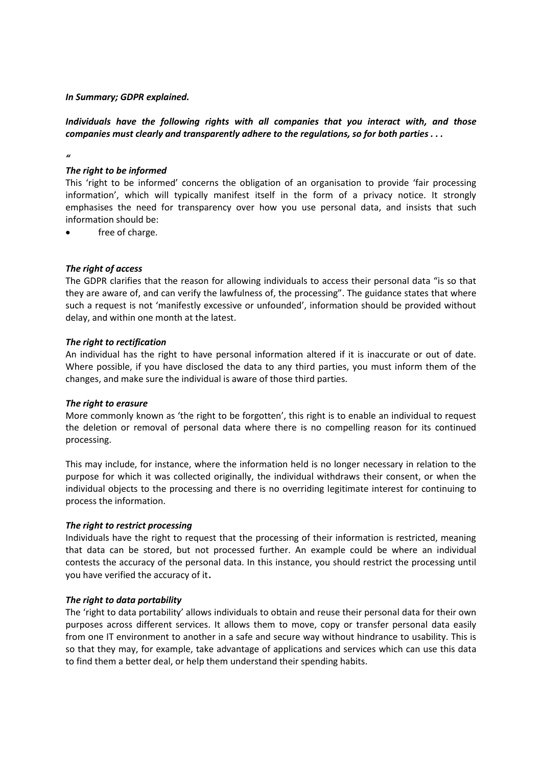*In Summary; GDPR explained.*

*Individuals have the following rights with all companies that you interact with, and those companies must clearly and transparently adhere to the regulations, so for both parties . . .*

# *"*

#### *The right to be informed*

This 'right to be informed' concerns the obligation of an organisation to provide 'fair processing information', which will typically manifest itself in the form of a privacy notice. It strongly emphasises the need for transparency over how you use personal data, and insists that such information should be:

free of charge.

#### *The right of access*

The GDPR clarifies that the reason for allowing individuals to access their personal data "is so that they are aware of, and can verify the lawfulness of, the processing". The guidance states that where such a request is not 'manifestly excessive or unfounded', information should be provided without delay, and within one month at the latest.

#### *The right to rectification*

An individual has the right to have personal information altered if it is inaccurate or out of date. Where possible, if you have disclosed the data to any third parties, you must inform them of the changes, and make sure the individual is aware of those third parties.

#### *The right to erasure*

More commonly known as 'the right to be forgotten', this right is to enable an individual to request the deletion or removal of personal data where there is no compelling reason for its continued processing.

This may include, for instance, where the information held is no longer necessary in relation to the purpose for which it was collected originally, the individual withdraws their consent, or when the individual objects to the processing and there is no overriding legitimate interest for continuing to process the information.

#### *The right to restrict processing*

Individuals have the right to request that the processing of their information is restricted, meaning that data can be stored, but not processed further. An example could be where an individual contests the accuracy of the personal data. In this instance, you should restrict the processing until you have verified the accuracy of it.

#### *The right to data portability*

The 'right to data portability' allows individuals to obtain and reuse their personal data for their own purposes across different services. It allows them to move, copy or transfer personal data easily from one IT environment to another in a safe and secure way without hindrance to usability. This is so that they may, for example, take advantage of applications and services which can use this data to find them a better deal, or help them understand their spending habits.